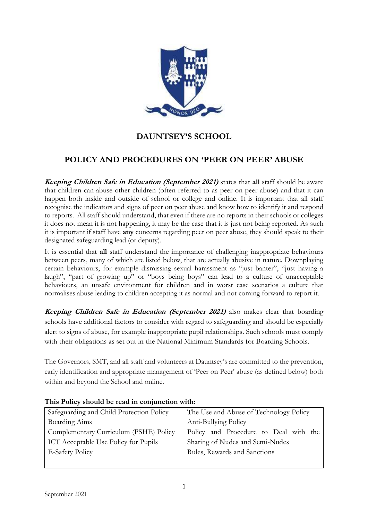

# **DAUNTSEY'S SCHOOL**

## **POLICY AND PROCEDURES ON 'PEER ON PEER' ABUSE**

**Keeping Children Safe in Education (September 2021)** states that **all** staff should be aware that children can abuse other children (often referred to as peer on peer abuse) and that it can happen both inside and outside of school or college and online. It is important that all staff recognise the indicators and signs of peer on peer abuse and know how to identify it and respond to reports. All staff should understand, that even if there are no reports in their schools or colleges it does not mean it is not happening, it may be the case that it is just not being reported. As such it is important if staff have **any** concerns regarding peer on peer abuse, they should speak to their designated safeguarding lead (or deputy).

It is essential that **all** staff understand the importance of challenging inappropriate behaviours between peers, many of which are listed below, that are actually abusive in nature. Downplaying certain behaviours, for example dismissing sexual harassment as "just banter", "just having a laugh", "part of growing up" or "boys being boys" can lead to a culture of unacceptable behaviours, an unsafe environment for children and in worst case scenarios a culture that normalises abuse leading to children accepting it as normal and not coming forward to report it.

**Keeping Children Safe in Education (September 2021)** also makes clear that boarding schools have additional factors to consider with regard to safeguarding and should be especially alert to signs of abuse, for example inappropriate pupil relationships. Such schools must comply with their obligations as set out in the National Minimum Standards for Boarding Schools.

The Governors, SMT, and all staff and volunteers at Dauntsey's are committed to the prevention, early identification and appropriate management of 'Peer on Peer' abuse (as defined below) both within and beyond the School and online.

| Safeguarding and Child Protection Policy | The Use and Abuse of Technology Policy |
|------------------------------------------|----------------------------------------|
| Boarding Aims                            | Anti-Bullying Policy                   |
| Complementary Curriculum (PSHE) Policy   | Policy and Procedure to Deal with the  |
| ICT Acceptable Use Policy for Pupils     | Sharing of Nudes and Semi-Nudes        |
| <b>E-Safety Policy</b>                   | Rules, Rewards and Sanctions           |
|                                          |                                        |

#### **This Policy should be read in conjunction with:**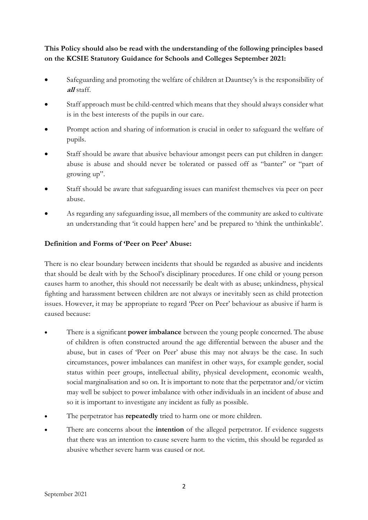**This Policy should also be read with the understanding of the following principles based on the KCSIE Statutory Guidance for Schools and Colleges September 2021:**

- Safeguarding and promoting the welfare of children at Dauntsey's is the responsibility of **all** staff.
- Staff approach must be child-centred which means that they should always consider what is in the best interests of the pupils in our care.
- Prompt action and sharing of information is crucial in order to safeguard the welfare of pupils.
- Staff should be aware that abusive behaviour amongst peers can put children in danger: abuse is abuse and should never be tolerated or passed off as "banter" or "part of growing up".
- Staff should be aware that safeguarding issues can manifest themselves via peer on peer abuse.
- As regarding any safeguarding issue, all members of the community are asked to cultivate an understanding that 'it could happen here' and be prepared to 'think the unthinkable'.

## **Definition and Forms of 'Peer on Peer' Abuse:**

There is no clear boundary between incidents that should be regarded as abusive and incidents that should be dealt with by the School's disciplinary procedures. If one child or young person causes harm to another, this should not necessarily be dealt with as abuse; unkindness, physical fighting and harassment between children are not always or inevitably seen as child protection issues. However, it may be appropriate to regard 'Peer on Peer' behaviour as abusive if harm is caused because:

- There is a significant **power imbalance** between the young people concerned. The abuse of children is often constructed around the age differential between the abuser and the abuse, but in cases of 'Peer on Peer' abuse this may not always be the case. In such circumstances, power imbalances can manifest in other ways, for example gender, social status within peer groups, intellectual ability, physical development, economic wealth, social marginalisation and so on. It is important to note that the perpetrator and/or victim may well be subject to power imbalance with other individuals in an incident of abuse and so it is important to investigate any incident as fully as possible.
- The perpetrator has **repeatedly** tried to harm one or more children.
- There are concerns about the **intention** of the alleged perpetrator. If evidence suggests that there was an intention to cause severe harm to the victim, this should be regarded as abusive whether severe harm was caused or not.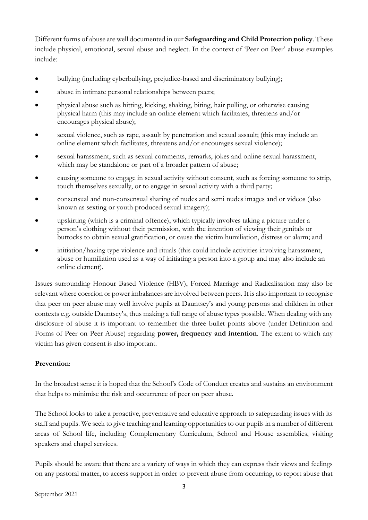Different forms of abuse are well documented in our **Safeguarding and Child Protection policy**. These include physical, emotional, sexual abuse and neglect. In the context of 'Peer on Peer' abuse examples include:

- bullying (including cyberbullying, prejudice-based and discriminatory bullying);
- abuse in intimate personal relationships between peers:
- physical abuse such as hitting, kicking, shaking, biting, hair pulling, or otherwise causing physical harm (this may include an online element which facilitates, threatens and/or encourages physical abuse);
- sexual violence, such as rape, assault by penetration and sexual assault; (this may include an online element which facilitates, threatens and/or encourages sexual violence);
- sexual harassment, such as sexual comments, remarks, jokes and online sexual harassment, which may be standalone or part of a broader pattern of abuse;
- causing someone to engage in sexual activity without consent, such as forcing someone to strip, touch themselves sexually, or to engage in sexual activity with a third party;
- consensual and non-consensual sharing of nudes and semi nudes images and or videos (also known as sexting or youth produced sexual imagery);
- upskirting (which is a criminal offence), which typically involves taking a picture under a person's clothing without their permission, with the intention of viewing their genitals or buttocks to obtain sexual gratification, or cause the victim humiliation, distress or alarm; and
- initiation/hazing type violence and rituals (this could include activities involving harassment, abuse or humiliation used as a way of initiating a person into a group and may also include an online element).

Issues surrounding Honour Based Violence (HBV), Forced Marriage and Radicalisation may also be relevant where coercion or power imbalances are involved between peers. It is also important to recognise that peer on peer abuse may well involve pupils at Dauntsey's and young persons and children in other contexts e.g. outside Dauntsey's, thus making a full range of abuse types possible. When dealing with any disclosure of abuse it is important to remember the three bullet points above (under Definition and Forms of Peer on Peer Abuse) regarding **power, frequency and intention**. The extent to which any victim has given consent is also important.

#### **Prevention**:

In the broadest sense it is hoped that the School's Code of Conduct creates and sustains an environment that helps to minimise the risk and occurrence of peer on peer abuse.

The School looks to take a proactive, preventative and educative approach to safeguarding issues with its staff and pupils. We seek to give teaching and learning opportunities to our pupils in a number of different areas of School life, including Complementary Curriculum, School and House assemblies, visiting speakers and chapel services.

Pupils should be aware that there are a variety of ways in which they can express their views and feelings on any pastoral matter, to access support in order to prevent abuse from occurring, to report abuse that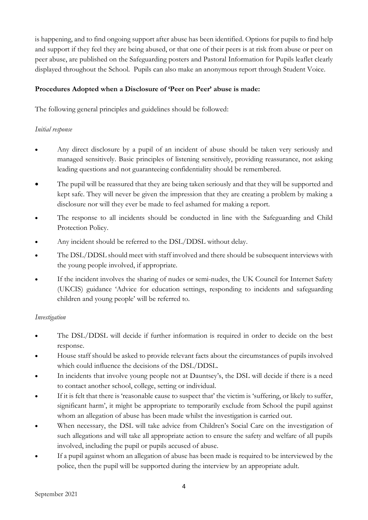is happening, and to find ongoing support after abuse has been identified. Options for pupils to find help and support if they feel they are being abused, or that one of their peers is at risk from abuse or peer on peer abuse, are published on the Safeguarding posters and Pastoral Information for Pupils leaflet clearly displayed throughout the School. Pupils can also make an anonymous report through Student Voice.

## **Procedures Adopted when a Disclosure of 'Peer on Peer' abuse is made:**

The following general principles and guidelines should be followed:

## *Initial response*

- Any direct disclosure by a pupil of an incident of abuse should be taken very seriously and managed sensitively. Basic principles of listening sensitively, providing reassurance, not asking leading questions and not guaranteeing confidentiality should be remembered.
- The pupil will be reassured that they are being taken seriously and that they will be supported and kept safe. They will never be given the impression that they are creating a problem by making a disclosure nor will they ever be made to feel ashamed for making a report.
- The response to all incidents should be conducted in line with the Safeguarding and Child Protection Policy.
- Any incident should be referred to the DSL/DDSL without delay.
- The DSL/DDSL should meet with staff involved and there should be subsequent interviews with the young people involved, if appropriate.
- If the incident involves the sharing of nudes or semi-nudes, the UK Council for Internet Safety (UKCIS) guidance 'Advice for education settings, responding to incidents and safeguarding children and young people' will be referred to.

#### *Investigation*

- The DSL/DDSL will decide if further information is required in order to decide on the best response.
- House staff should be asked to provide relevant facts about the circumstances of pupils involved which could influence the decisions of the DSL/DDSL.
- In incidents that involve young people not at Dauntsey's, the DSL will decide if there is a need to contact another school, college, setting or individual.
- If it is felt that there is 'reasonable cause to suspect that' the victim is 'suffering, or likely to suffer, significant harm', it might be appropriate to temporarily exclude from School the pupil against whom an allegation of abuse has been made whilst the investigation is carried out.
- When necessary, the DSL will take advice from Children's Social Care on the investigation of such allegations and will take all appropriate action to ensure the safety and welfare of all pupils involved, including the pupil or pupils accused of abuse.
- If a pupil against whom an allegation of abuse has been made is required to be interviewed by the police, then the pupil will be supported during the interview by an appropriate adult.